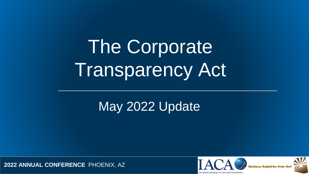The Corporate Transparency Act

May 2022 Update

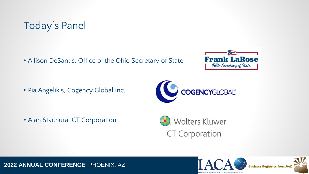

• Allison DeSantis, Office of the Ohio Secretary of State



• Pia Angelikis, Cogency Global Inc.



• Alan Stachura, CT Corporation





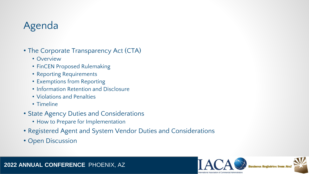### Agenda

- The Corporate Transparency Act (CTA)
	- Overview
	- FinCEN Proposed Rulemaking
	- Reporting Requirements
	- Exemptions from Reporting
	- Information Retention and Disclosure
	- Violations and Penalties
	- Timeline
- State Agency Duties and Considerations
	- How to Prepare for Implementation
- Registered Agent and System Vendor Duties and Considerations
- Open Discussion



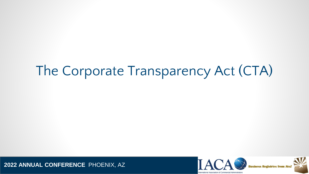# The Corporate Transparency Act (CTA)



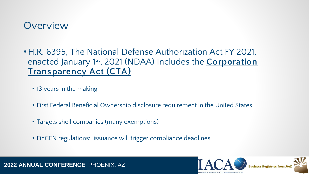#### **Overview**

- H.R. 6395, The National Defense Authorization Act FY 2021, enacted January 1st, 2021 (NDAA) Includes the **Corporation Trans parency Act (CTA)**
	- 13 years in the making
	- First Federal Beneficial Ownership disclosure requirement in the United States
	- Targets shell companies (many exemptions)
	- FinCEN regulations: issuance will trigger compliance deadlines



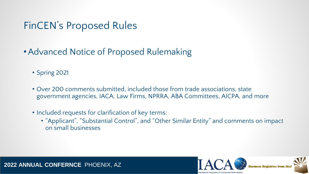#### FinCEN's Proposed Rules

- •Advanced Notice of Proposed Rulemaking
	- Spring 2021
	- Over 200 comments submitted, included those from trade associations, state government agencies, IACA, Law Firms, NPRRA, ABA Committees, AICPA, and more
	- Included requests for clarification of key terms:
		- "Applicant", "Substantial Control", and "Other Similar Entity" and comments on impact on small businesses

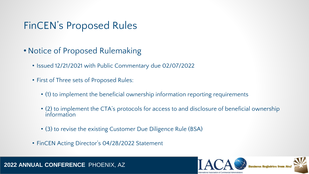### FinCEN's Proposed Rules

- Notice of Proposed Rulemaking
	- Issued 12/21/2021 with Public Commentary due 02/07/2022
	- First of Three sets of Proposed Rules:
		- (1) to implement the beneficial ownership information reporting requirements
		- (2) to implement the CTA's protocols for access to and disclosure of beneficial ownership information
		- (3) to revise the existing Customer Due Diligence Rule (BSA)
	- FinCEN Acting Director's 04/28/2022 Statement



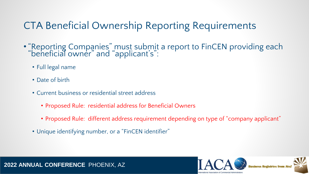### CTA Beneficial Ownership Reporting Requirements

- "Reporting Companies" must submit a report to FinCEN providing each "beneficial owner" and "applicant's":
	- Full legal name
	- Date of birth
	- Current business or residential street address
		- Proposed Rule: residential address for Beneficial Owners
		- Proposed Rule: different address requirement depending on type of "company applicant"
	- Unique identifying number, or a "FinCEN identifier"



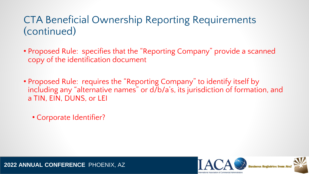- Proposed Rule: specifies that the "Reporting Company" provide a scanned copy of the identification document
- Proposed Rule: requires the "Reporting Company" to identify itself by including any "alternative names" or d/b/a's, its jurisdiction of formation, and a TIN, EIN, DUNS, or LEI
	- Corporate Identifier?

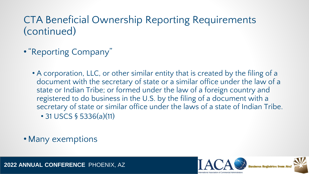- •"Reporting Company"
	- A corporation, LLC, or other similar entity that is created by the filing of a document with the secretary of state or a similar office under the law of a state or Indian Tribe; or formed under the law of a foreign country and registered to do business in the U.S. by the filing of a document with a secretary of state or similar office under the laws of a state of Indian Tribe. • 31 USCS § 5336(a)(11)
- Many exemptions

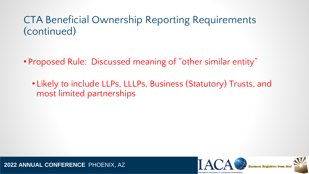• Proposed Rule: Discussed meaning of "other similar entity"

• Likely to include LLPs, LLLPs, Business (Statutory) Trusts, and most limited partnerships

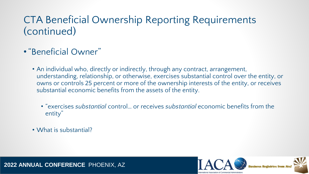- •"Beneficial Owner"
	- An individual who, directly or indirectly, through any contract, arrangement, understanding, relationship, or otherwise, exercises substantial control over the entity, or owns or controls 25 percent or more of the ownership interests of the entity, or receives substantial economic benefits from the assets of the entity.
		- "exercises *substantial* control… or receives *substantial* economic benefits from the entity"
	- What is substantial?

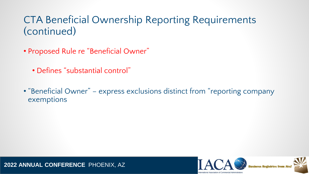- Proposed Rule re "Beneficial Owner"
	- Defines "substantial control"
- "Beneficial Owner" express exclusions distinct from "reporting company exemptions



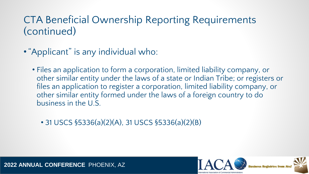- •"Applicant" is any individual who:
	- Files an application to form a corporation, limited liability company, or other similar entity under the laws of a state or Indian Tribe; or registers or files an application to register a corporation, limited liability company, or other similar entity formed under the laws of a foreign country to do business in the U.S.
		- 31 USCS §5336(a)(2)(A), 31 USCS §5336(a)(2)(B)

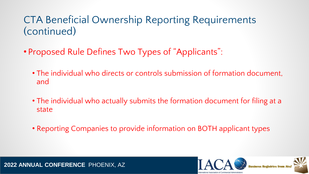- Proposed Rule Defines Two Types of "Applicants":
	- The individual who directs or controls submission of formation document, and
	- The individual who actually submits the formation document for filing at a state
	- Reporting Companies to provide information on BOTH applicant types



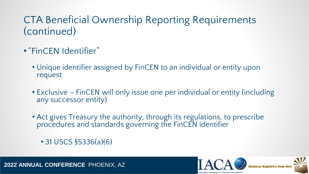- •"FinCEN Identifier"
	- Unique identifier assigned by FinCEN to an individual or entity upon request
	- Exclusive FinCEN will only issue one per individual or entity (including any successor entity)
	- Act gives Treasury the authority, through its regulations, to prescribe procedures and standards governing the FinCEN identifier
		- 31 USCS §5336(a)(6)

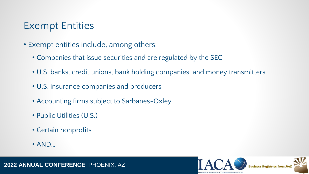#### Exempt Entities

- Exempt entities include, among others:
	- Companies that issue securities and are regulated by the SEC
	- U.S. banks, credit unions, bank holding companies, and money transmitters
	- U.S. insurance companies and producers
	- Accounting firms subject to Sarbanes-Oxley
	- Public Utilities (U.S.)
	- Certain nonprofits
	- AND…



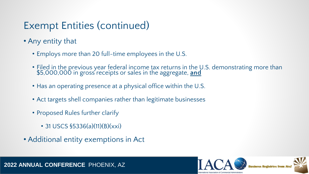## Exempt Entities (continued)

- Any entity that
	- Employs more than 20 full-time employees in the U.S.
	- Filed in the previous year federal income tax returns in the U.S. demonstrating more than \$5,000,000 in gross receipts or sales in the aggregate, **and**
	- Has an operating presence at a physical office within the U.S.
	- Act targets shell companies rather than legitimate businesses
	- Proposed Rules further clarify
		- 31 USCS  $$5336(a)(11)(B)(xxi)$
- Additional entity exemptions in Act

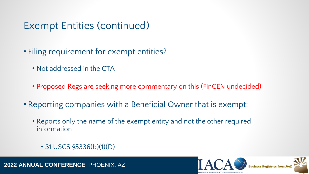### Exempt Entities (continued)

- Filing requirement for exempt entities?
	- Not addressed in the CTA
	- Proposed Regs are seeking more commentary on this (FinCEN undecided)
- Reporting companies with a Beneficial Owner that is exempt:
	- Reports only the name of the exempt entity and not the other required information
		- 31 USCS §5336(b)(1)(D)

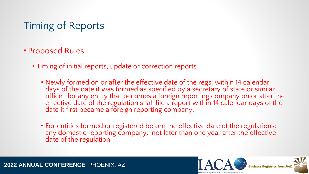## Timing of Reports

- Proposed Rules:
	- Timing of initial reports, update or correction reports
		- Newly formed on or after the effective date of the regs, within 14 calendar days of the date it was formed as specified by a secretary of state or similar office: for any entity that becomes a foreign reporting company on or after the effective date of the regulation shall file a report within 14 calendar days of the date it first became a foreign reporting company.
		- For entities formed or registered before the effective date of the regulations: any domestic reporting company: not later than one year after the effective date of the regulation



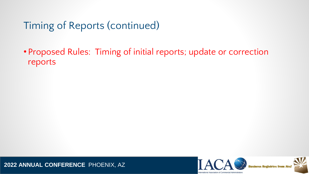Timing of Reports (continued)

• Proposed Rules: Timing of initial reports; update or correction reports



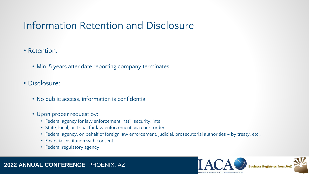### Information Retention and Disclosure

- Retention:
	- Min. 5 years after date reporting company terminates
- Disclosure:
	- No public access, information is confidential
	- Upon proper request by:
		- Federal agency for law enforcement, nat'l security, intel
		- State, local, or Tribal for law enforcement, via court order
		- Federal agency, on behalf of foreign law enforcement, judicial, prosecutorial authorities by treaty, etc…
		- Financial institution with consent
		- Federal regulatory agency



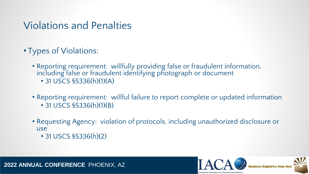#### Violations and Penalties

- Types of Violations:
	- Reporting requirement: willfully providing false or fraudulent information, including false or fraudulent identifying photograph or document • 31 USCS §5336(h)(1)(A)
	- Reporting requirement: willful failure to report complete or updated information
		- 31 USCS §5336(h)(1)(B)
	- Requesting Agency: violation of protocols, including unauthorized disclosure or use
		- 31 USCS §5336(h)(2)

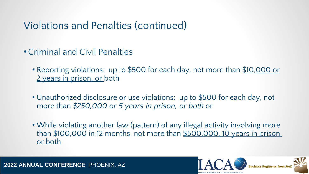### Violations and Penalties (continued)

- •Criminal and Civil Penalties
	- Reporting violations: up to \$500 for each day, not more than \$10,000 or 2 years in prison, or both
	- Unauthorized disclosure or use violations: up to \$500 for each day, not more than *\$250,000 or 5 years in prison, or both* or
	- While violating another law (pattern) of any illegal activity involving more than \$100,000 in 12 months, not more than \$500,000, 10 years in prison, or both





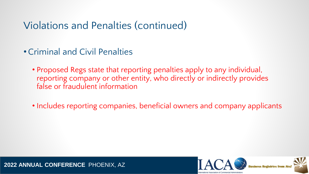### Violations and Penalties (continued)

- •Criminal and Civil Penalties
	- Proposed Regs state that reporting penalties apply to any individual, reporting company or other entity, who directly or indirectly provides false or fraudulent information
	- Includes reporting companies, beneficial owners and company applicants



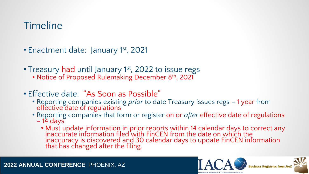## Timeline

- Enactment date: January 1st, 2021
- Treasury had until January 1<sup>st</sup>, 2022 to issue regs
	- Notice of Proposed Rulemaking December 8<sup>th</sup>, 2021
- Effective date: "As Soon as Possible"
	- Reporting companies existing *prior* to date Treasury issues regs 1 year from effective date of regulations
	- Reporting companies that form or register on or *after* effective date of regulations
		- $-14$  days
			- Must update information in prior reports within 14 calendar days to correct any inaccurate information filed with FinCEN from the date on which the inaccuracy is discovered and 30 calendar days to update FinCEN information that has changed after the filing.



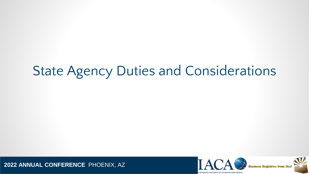# State Agency Duties and Considerations



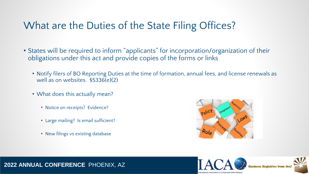### What are the Duties of the State Filing Offices?

- States will be required to inform "applicants" for incorporation/organization of their obligations under this act and provide copies of the forms or links
	- Notify filers of BO Reporting Duties at the time of formation, annual fees, and license renewals as well as on websites. §5336(e)(2)
	- What does this actually mean?
		- Notice on receipts? Evidence?
		- Large mailing? Is email sufficient?
		- New filings vs existing database



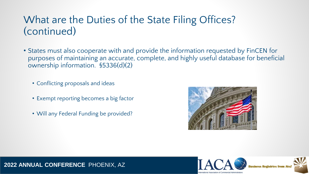#### What are the Duties of the State Filing Offices? (continued)

- States must also cooperate with and provide the information requested by FinCEN for purposes of maintaining an accurate, complete, and highly useful database for beneficial ownership information. §5336(d)(2)
	- Conflicting proposals and ideas
	- Exempt reporting becomes a big factor
	- Will any Federal Funding be provided?



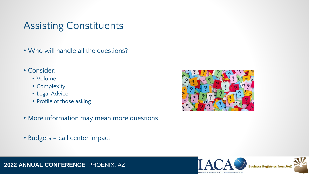#### Assisting Constituents

- Who will handle all the questions?
- Consider:
	- Volume
	- Complexity
	- Legal Advice
	- Profile of those asking
- More information may mean more questions
- Budgets call center impact



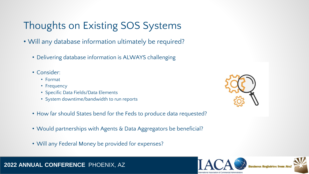## Thoughts on Existing SOS Systems

- Will any database information ultimately be required?
	- Delivering database information is ALWAYS challenging
	- Consider:
		- Format
		- Frequency
		- Specific Data Fields/Data Elements
		- System downtime/bandwidth to run reports
	- How far should States bend for the Feds to produce data requested?
	- Would partnerships with Agents & Data Aggregators be beneficial?
	- Will any Federal Money be provided for expenses?





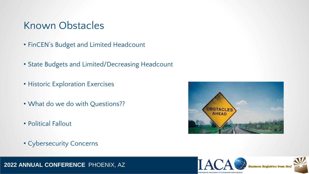#### Known Obstacles

- FinCEN's Budget and Limited Headcount
- State Budgets and Limited/Decreasing Headcount
- Historic Exploration Exercises
- What do we do with Questions??
- Political Fallout
- Cybersecurity Concerns



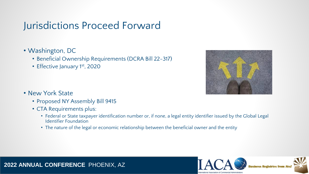### Jurisdictions Proceed Forward

- Washington, DC
	- Beneficial Ownership Requirements (DCRA Bill 22-317)
	- Effective January 1st, 2020



- New York State
	- Proposed NY Assembly Bill 9415
	- CTA Requirements plus:
		- Federal or State taxpayer identification number or, if none, a legal entity identifier issued by the Global Legal Identifier Foundation
		- The nature of the legal or economic relationship between the beneficial owner and the entity

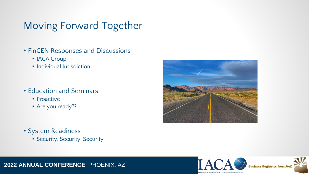## Moving Forward Together

- FinCEN Responses and Discussions
	- IACA Group
	- Individual Jurisdiction
- Education and Seminars
	- Proactive
	- Are you ready??

- System Readiness
	- Security, Security, Security



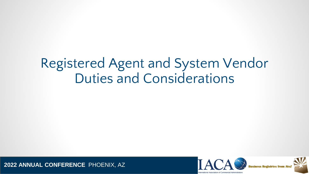# Registered Agent and System Vendor Duties and Considerations



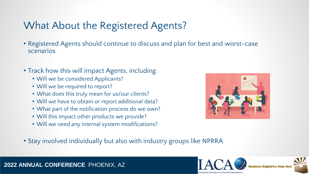## What About the Registered Agents?

- Registered Agents should continue to discuss and plan for best and worst-case scenarios
- Track how this will impact Agents, including:
	- Will we be considered Applicants?
	- Will we be required to report?
	- What does this truly mean for us/our clients?
	- Will we have to obtain or report additional data?
	- What part of the notification process do we own?
	- Will this impact other products we provide?
	- Will we need any internal system modifications?



• Stay involved individually but also with industry groups like NPRRA



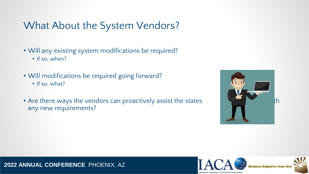### What About the System Vendors?

- Will any existing system modifications be required?
	- If so, when?
- Will modifications be required going forward?
	- If so, what?
- Are there ways the vendors can proactively assist the states any new requirements?



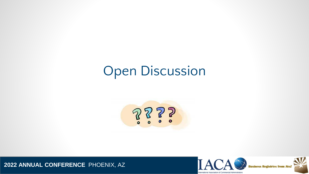# Open Discussion